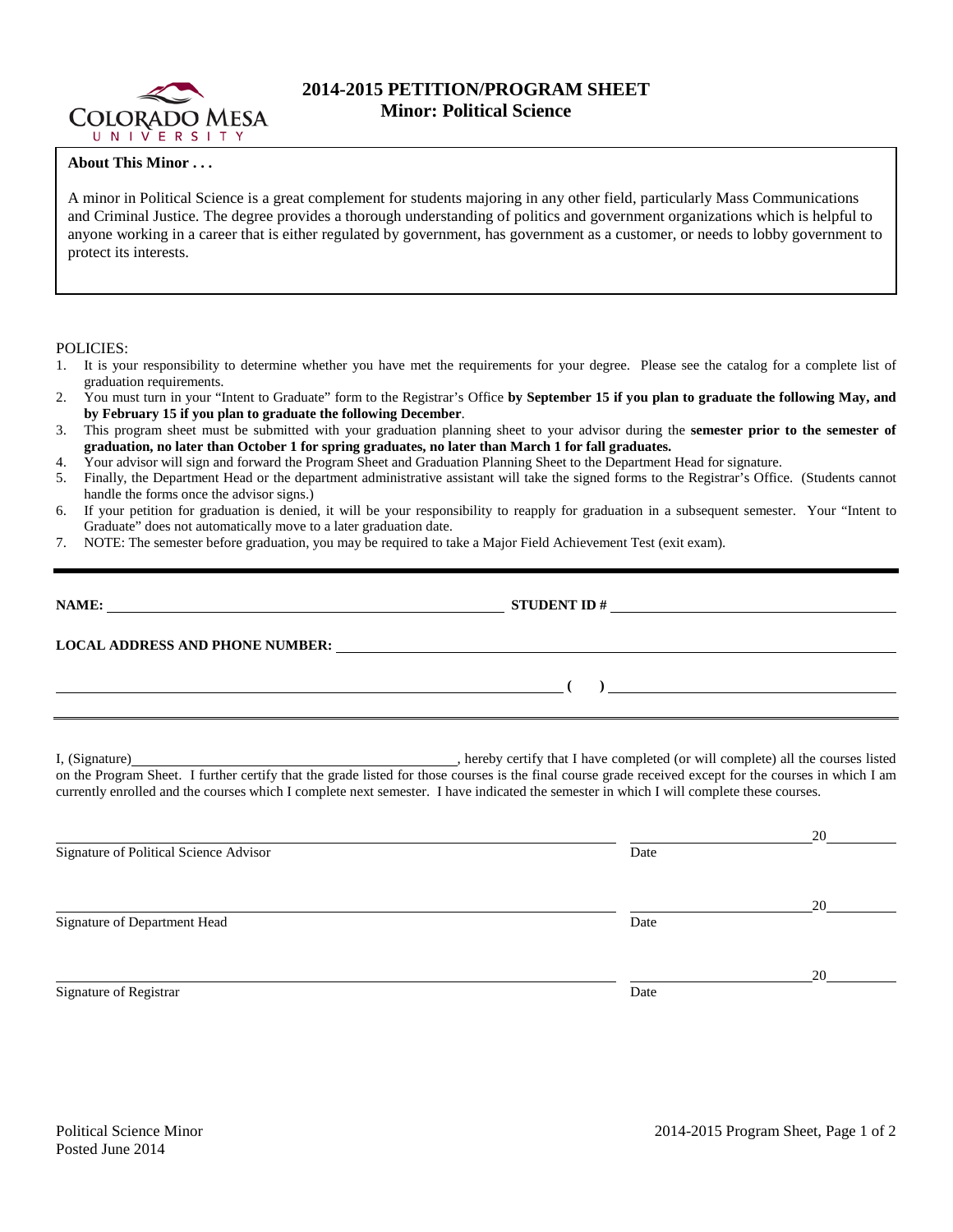

## **2014-2015 PETITION/PROGRAM SHEET Minor: Political Science**

## **About This Minor . . .**

A minor in Political Science is a great complement for students majoring in any other field, particularly Mass Communications and Criminal Justice. The degree provides a thorough understanding of politics and government organizations which is helpful to anyone working in a career that is either regulated by government, has government as a customer, or needs to lobby government to protect its interests.

POLICIES:

- 1. It is your responsibility to determine whether you have met the requirements for your degree. Please see the catalog for a complete list of graduation requirements.
- 2. You must turn in your "Intent to Graduate" form to the Registrar's Office **by September 15 if you plan to graduate the following May, and by February 15 if you plan to graduate the following December**.
- 3. This program sheet must be submitted with your graduation planning sheet to your advisor during the **semester prior to the semester of graduation, no later than October 1 for spring graduates, no later than March 1 for fall graduates.**
- 4. Your advisor will sign and forward the Program Sheet and Graduation Planning Sheet to the Department Head for signature.
- 5. Finally, the Department Head or the department administrative assistant will take the signed forms to the Registrar's Office. (Students cannot handle the forms once the advisor signs.)
- 6. If your petition for graduation is denied, it will be your responsibility to reapply for graduation in a subsequent semester. Your "Intent to Graduate" does not automatically move to a later graduation date.
- 7. NOTE: The semester before graduation, you may be required to take a Major Field Achievement Test (exit exam).

| LOCAL ADDRESS AND PHONE NUMBER: University of the contract of the contract of the contract of the contract of the contract of the contract of the contract of the contract of the contract of the contract of the contract of |  |
|-------------------------------------------------------------------------------------------------------------------------------------------------------------------------------------------------------------------------------|--|
| <u> 1999 - Andrea Station Andrea Station Andrea Station Andrea Station Andrea Station Andrea Station Andrea Station</u>                                                                                                       |  |
|                                                                                                                                                                                                                               |  |

I, (Signature) , hereby certify that I have completed (or will complete) all the courses listed on the Program Sheet. I further certify that the grade listed for those courses is the final course grade received except for the courses in which I am currently enrolled and the courses which I complete next semester. I have indicated the semester in which I will complete these courses.

|                                        |      | 20 |
|----------------------------------------|------|----|
| Signature of Political Science Advisor | Date |    |
|                                        |      |    |
|                                        |      | 20 |
| Signature of Department Head           | Date |    |
|                                        |      |    |
|                                        |      | 20 |
| Signature of Registrar                 | Date |    |
|                                        |      |    |